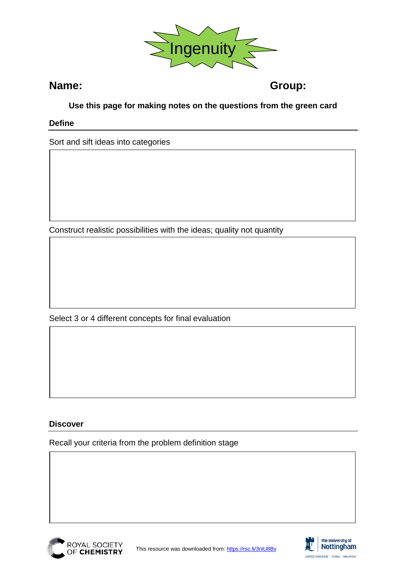

**Name: Group:**

# **Use this page for making notes on the questions from the green card**

# **Define**

Sort and sift ideas into categories

Construct realistic possibilities with the ideas; quality not quantity

Select 3 or 4 different concepts for final evaluation

# **Discover**

Recall your criteria from the problem definition stage



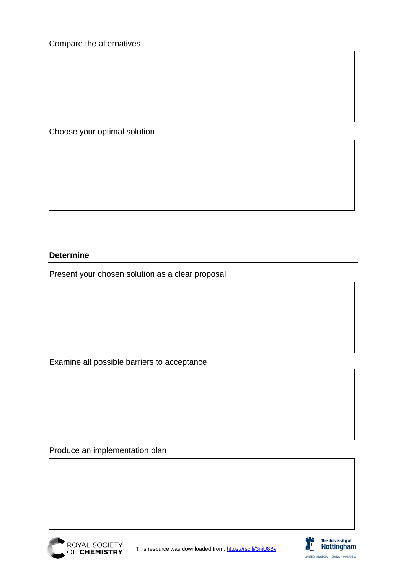Choose your optimal solution

# **Determine**

Present your chosen solution as a clear proposal

Examine all possible barriers to acceptance

Produce an implementation plan



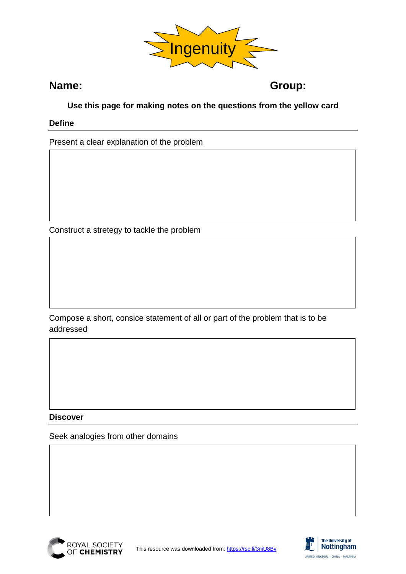

**Name: Group:**

# **Use this page for making notes on the questions from the yellow card**

### **Define**

Present a clear explanation of the problem

Construct a stretegy to tackle the problem

Compose a short, consice statement of all or part of the problem that is to be addressed

### **Discover**

Seek analogies from other domains



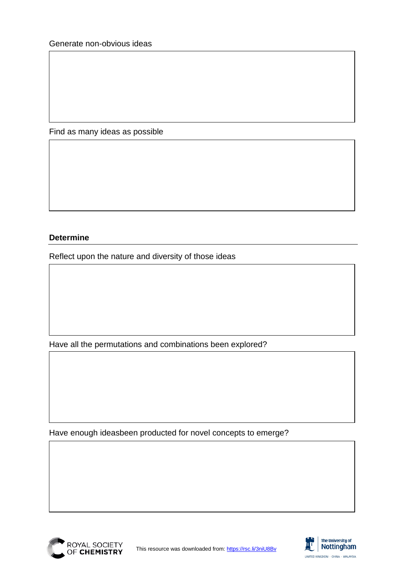Find as many ideas as possible

# **Determine**

Reflect upon the nature and diversity of those ideas

Have all the permutations and combinations been explored?

Have enough ideasbeen producted for novel concepts to emerge?



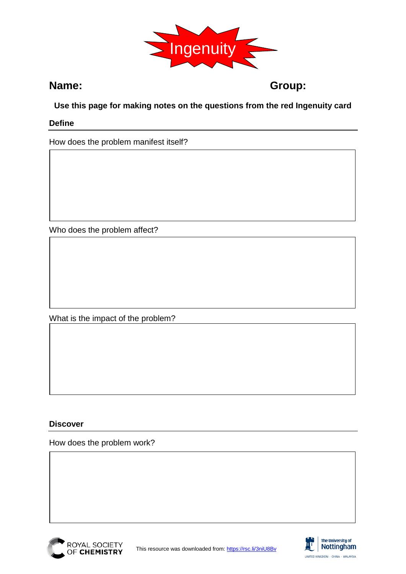

**Name: Group:**

# **Use this page for making notes on the questions from the red Ingenuity card**

### **Define**

How does the problem manifest itself?

Who does the problem affect?

What is the impact of the problem?

### **Discover**

How does the problem work?